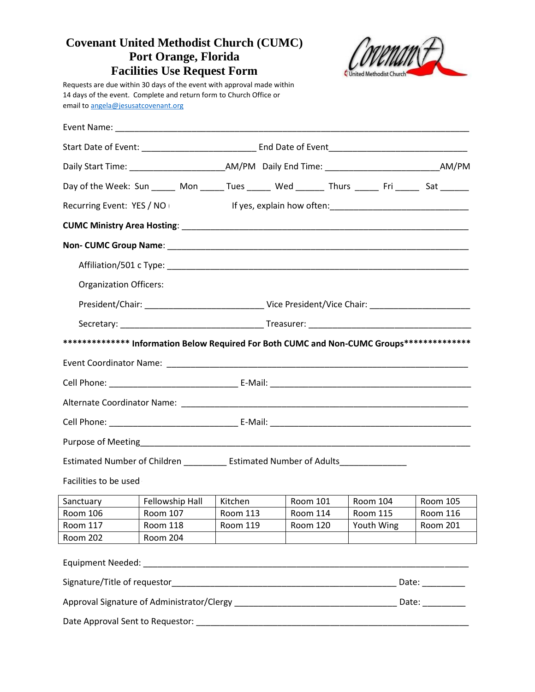## **Covenant United Methodist Church (CUMC) Port Orange, Florida Facilities Use Request Form**



Requests are due within 30 days of the event with approval made within 14 days of the event. Complete and return form to Church Office or email to [angela@jesusatcovenant.org](mailto:angela@jesusatcovenant.org)

| Day of the Week: Sun ______ Mon ______ Tues ______ Wed _______ Thurs ______ Fri ______ Sat ______ |                           |          |  |                 |  |                                                                                                                       |                 |  |
|---------------------------------------------------------------------------------------------------|---------------------------|----------|--|-----------------|--|-----------------------------------------------------------------------------------------------------------------------|-----------------|--|
| Recurring Event: YES / NO                                                                         |                           |          |  |                 |  |                                                                                                                       |                 |  |
|                                                                                                   |                           |          |  |                 |  |                                                                                                                       |                 |  |
|                                                                                                   |                           |          |  |                 |  |                                                                                                                       |                 |  |
|                                                                                                   |                           |          |  |                 |  |                                                                                                                       |                 |  |
| <b>Organization Officers:</b>                                                                     |                           |          |  |                 |  |                                                                                                                       |                 |  |
|                                                                                                   |                           |          |  |                 |  |                                                                                                                       |                 |  |
|                                                                                                   |                           |          |  |                 |  |                                                                                                                       |                 |  |
| ************** Information Below Required For Both CUMC and Non-CUMC Groups**************         |                           |          |  |                 |  |                                                                                                                       |                 |  |
|                                                                                                   |                           |          |  |                 |  |                                                                                                                       |                 |  |
|                                                                                                   |                           |          |  |                 |  |                                                                                                                       |                 |  |
|                                                                                                   |                           |          |  |                 |  |                                                                                                                       |                 |  |
|                                                                                                   |                           |          |  |                 |  |                                                                                                                       |                 |  |
|                                                                                                   |                           |          |  |                 |  |                                                                                                                       |                 |  |
| Estimated Number of Children ______________ Estimated Number of Adults________________            |                           |          |  |                 |  |                                                                                                                       |                 |  |
| Facilities to be used                                                                             |                           |          |  |                 |  |                                                                                                                       |                 |  |
| Sanctuary                                                                                         | Fellowship Hall   Kitchen |          |  | Room 101        |  | Room 104                                                                                                              | Room 105        |  |
| Room 106   Room 107   Room 113                                                                    |                           |          |  | Room 114        |  | Room 115                                                                                                              | Room 116        |  |
| Room 117                                                                                          | <b>Room 118</b>           | Room 119 |  | <b>Room 120</b> |  | Youth Wing                                                                                                            | <b>Room 201</b> |  |
| <b>Room 202</b>                                                                                   | <b>Room 204</b>           |          |  |                 |  |                                                                                                                       |                 |  |
| <b>Equipment Needed:</b>                                                                          |                           |          |  |                 |  |                                                                                                                       |                 |  |
|                                                                                                   |                           |          |  |                 |  |                                                                                                                       |                 |  |
|                                                                                                   |                           |          |  |                 |  |                                                                                                                       |                 |  |
| Date Approval Sent to Requestor:                                                                  |                           |          |  |                 |  | <u> 1980 - Johann Barn, mars ann an t-Amhain an t-Amhain an t-Amhain an t-Amhain an t-Amhain an t-Amhain an t-Amh</u> |                 |  |